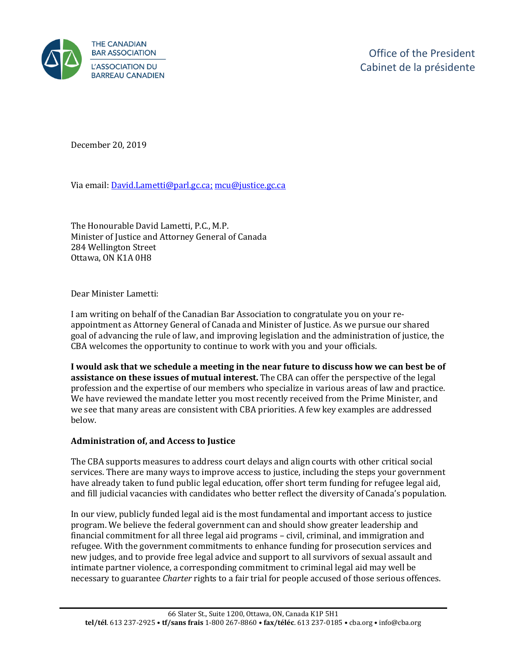

December 20, 2019

Via email[: David.Lametti@parl.gc.ca;](mailto:David.Lametti@parl.gc.ca) [mcu@justice.gc.ca](mailto:mcu@justice.gc.ca)

The Honourable David Lametti, P.C., M.P. Minister of Justice and Attorney General of Canada 284 Wellington Street Ottawa, ON K1A 0H8

Dear Minister Lametti:

I am writing on behalf of the Canadian Bar Association to congratulate you on your reappointment as Attorney General of Canada and Minister of Justice. As we pursue our shared goal of advancing the rule of law, and improving legislation and the administration of justice, the CBA welcomes the opportunity to continue to work with you and your officials.

**I would ask that we schedule a meeting in the near future to discuss how we can best be of assistance on these issues of mutual interest.** The CBA can offer the perspective of the legal profession and the expertise of our members who specialize in various areas of law and practice. We have reviewed the mandate letter you most recently received from the Prime Minister, and we see that many areas are consistent with CBA priorities. A few key examples are addressed below.

## **Administration of, and Access to Justice**

The CBA supports measures to address court delays and align courts with other critical social services. There are many ways to improve access to justice, including the steps your government have already taken to fund public legal education, offer short term funding for refugee legal aid, and fill judicial vacancies with candidates who better reflect the diversity of Canada's population.

In our view, publicly funded legal aid is the most fundamental and important access to justice program. We believe the federal government can and should show greater leadership and financial commitment for all three legal aid programs – civil, criminal, and immigration and refugee. With the government commitments to enhance funding for prosecution services and new judges, and to provide free legal advice and support to all survivors of sexual assault and intimate partner violence, a corresponding commitment to criminal legal aid may well be necessary to guarantee *Charter* rights to a fair trial for people accused of those serious offences.